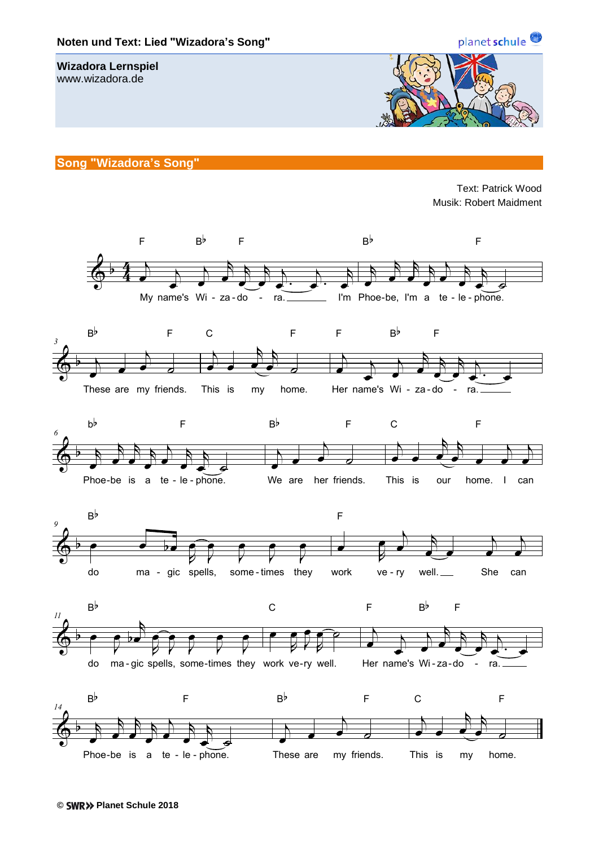